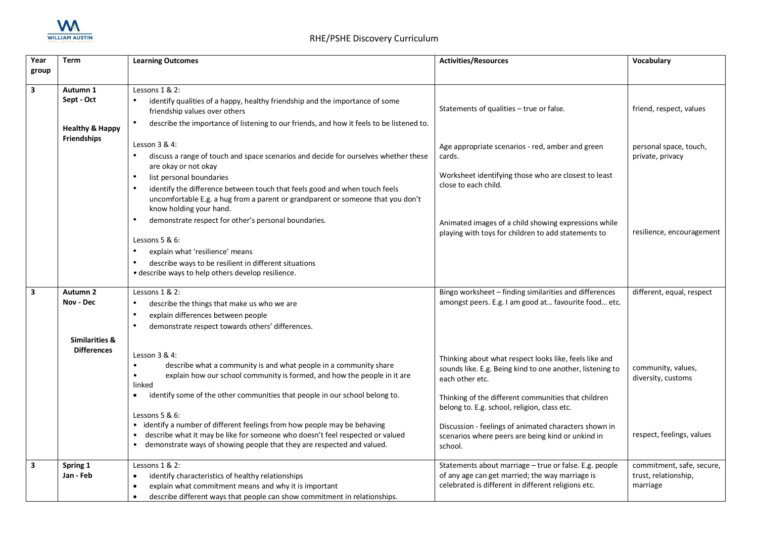

| Year  | <b>Term</b>                                      | <b>Learning Outcomes</b>                                                                                      | <b>Activities/Resources</b>                                                                                 | Vocabulary                |
|-------|--------------------------------------------------|---------------------------------------------------------------------------------------------------------------|-------------------------------------------------------------------------------------------------------------|---------------------------|
| group |                                                  |                                                                                                               |                                                                                                             |                           |
|       |                                                  |                                                                                                               |                                                                                                             |                           |
| 3     | Autumn 1<br>Sept - Oct                           | Lessons 1 & 2:                                                                                                |                                                                                                             |                           |
|       |                                                  | identify qualities of a happy, healthy friendship and the importance of some<br>friendship values over others | Statements of qualities - true or false.                                                                    | friend, respect, values   |
|       | <b>Healthy &amp; Happy</b><br><b>Friendships</b> | describe the importance of listening to our friends, and how it feels to be listened to.                      |                                                                                                             |                           |
|       |                                                  | Lesson 3 & 4:                                                                                                 | Age appropriate scenarios - red, amber and green                                                            | personal space, touch,    |
|       |                                                  | discuss a range of touch and space scenarios and decide for ourselves whether these<br>are okay or not okay   | cards.                                                                                                      | private, privacy          |
|       |                                                  | list personal boundaries<br>$\bullet$                                                                         | Worksheet identifying those who are closest to least                                                        |                           |
|       |                                                  | identify the difference between touch that feels good and when touch feels                                    | close to each child.                                                                                        |                           |
|       |                                                  | uncomfortable E.g. a hug from a parent or grandparent or someone that you don't<br>know holding your hand.    |                                                                                                             |                           |
|       |                                                  | demonstrate respect for other's personal boundaries.                                                          | Animated images of a child showing expressions while<br>playing with toys for children to add statements to | resilience, encouragement |
|       |                                                  | Lessons 5 & 6:                                                                                                |                                                                                                             |                           |
|       |                                                  | explain what 'resilience' means                                                                               |                                                                                                             |                           |
|       |                                                  | describe ways to be resilient in different situations                                                         |                                                                                                             |                           |
|       |                                                  | · describe ways to help others develop resilience.                                                            |                                                                                                             |                           |
| 3     | Autumn <sub>2</sub>                              | Lessons 1 & 2:                                                                                                | Bingo worksheet - finding similarities and differences                                                      | different, equal, respect |
|       | Nov - Dec                                        | describe the things that make us who we are                                                                   | amongst peers. E.g. I am good at favourite food etc.                                                        |                           |
|       |                                                  | explain differences between people                                                                            |                                                                                                             |                           |
|       |                                                  | demonstrate respect towards others' differences.                                                              |                                                                                                             |                           |
|       | <b>Similarities &amp;</b>                        |                                                                                                               |                                                                                                             |                           |
|       | <b>Differences</b>                               | Lesson 3 & 4:                                                                                                 |                                                                                                             |                           |
|       |                                                  | describe what a community is and what people in a community share                                             | Thinking about what respect looks like, feels like and                                                      | community, values,        |
|       |                                                  | explain how our school community is formed, and how the people in it are                                      | sounds like. E.g. Being kind to one another, listening to<br>each other etc.                                | diversity, customs        |
|       |                                                  | linked                                                                                                        |                                                                                                             |                           |
|       |                                                  | identify some of the other communities that people in our school belong to.<br>$\bullet$                      | Thinking of the different communities that children                                                         |                           |
|       |                                                  |                                                                                                               | belong to. E.g. school, religion, class etc.                                                                |                           |
|       |                                                  | Lessons $5 & 6$ :<br>• identify a number of different feelings from how people may be behaving                |                                                                                                             |                           |
|       |                                                  | describe what it may be like for someone who doesn't feel respected or valued                                 | Discussion - feelings of animated characters shown in<br>scenarios where peers are being kind or unkind in  | respect, feelings, values |
|       |                                                  | • demonstrate ways of showing people that they are respected and valued.                                      | school.                                                                                                     |                           |
| 3     | Spring 1                                         | Lessons $1 & 2$ :                                                                                             | Statements about marriage - true or false. E.g. people                                                      | commitment, safe, secure, |
|       | Jan - Feb                                        | identify characteristics of healthy relationships                                                             | of any age can get married; the way marriage is                                                             | trust, relationship,      |
|       |                                                  | explain what commitment means and why it is important                                                         | celebrated is different in different religions etc.                                                         | marriage                  |
|       |                                                  | describe different ways that people can show commitment in relationships.                                     |                                                                                                             |                           |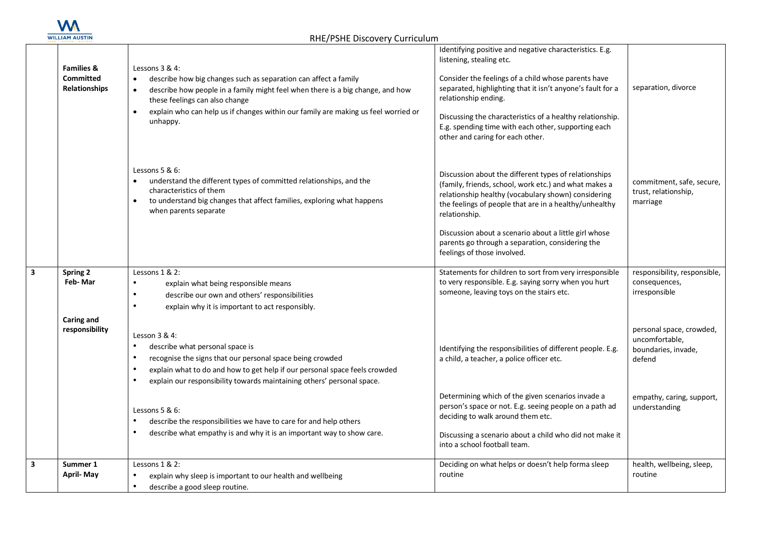

| <b>Families &amp;</b><br><b>Committed</b><br>Relationships | Lessons $3 & 4$ :<br>describe how big changes such as separation can affect a family<br>$\bullet$<br>describe how people in a family might feel when there is a big change, and how<br>$\bullet$<br>these feelings can also change<br>explain who can help us if changes within our family are making us feel worried or<br>$\bullet$<br>unhappy. | Identifying positive and negative characteristics. E.g.<br>listening, stealing etc.<br>Consider the feelings of a child whose parents have<br>separated, highlighting that it isn't anyone's fault for a<br>relationship ending.<br>Discussing the characteristics of a healthy relationship.<br>E.g. spending time with each other, supporting each<br>other and caring for each other. | separation, divorce                                                         |
|------------------------------------------------------------|---------------------------------------------------------------------------------------------------------------------------------------------------------------------------------------------------------------------------------------------------------------------------------------------------------------------------------------------------|------------------------------------------------------------------------------------------------------------------------------------------------------------------------------------------------------------------------------------------------------------------------------------------------------------------------------------------------------------------------------------------|-----------------------------------------------------------------------------|
|                                                            | Lessons $5 & 6$ :<br>understand the different types of committed relationships, and the<br>characteristics of them<br>to understand big changes that affect families, exploring what happens<br>$\bullet$<br>when parents separate                                                                                                                | Discussion about the different types of relationships<br>(family, friends, school, work etc.) and what makes a<br>relationship healthy (vocabulary shown) considering<br>the feelings of people that are in a healthy/unhealthy<br>relationship.                                                                                                                                         | commitment, safe, secure,<br>trust, relationship,<br>marriage               |
|                                                            |                                                                                                                                                                                                                                                                                                                                                   | Discussion about a scenario about a little girl whose<br>parents go through a separation, considering the<br>feelings of those involved.                                                                                                                                                                                                                                                 |                                                                             |
| <b>Spring 2</b><br>Feb-Mar                                 | Lessons 1 & 2:<br>$\bullet$<br>explain what being responsible means<br>describe our own and others' responsibilities<br>$\bullet$<br>explain why it is important to act responsibly.                                                                                                                                                              | Statements for children to sort from very irresponsible<br>to very responsible. E.g. saying sorry when you hurt<br>someone, leaving toys on the stairs etc.                                                                                                                                                                                                                              | responsibility, responsible,<br>consequences,<br>irresponsible              |
| Caring and<br>responsibility                               | Lesson $3 & 4$ :<br>$\bullet$<br>describe what personal space is<br>recognise the signs that our personal space being crowded<br>$\bullet$<br>explain what to do and how to get help if our personal space feels crowded<br>explain our responsibility towards maintaining others' personal space.                                                | Identifying the responsibilities of different people. E.g.<br>a child, a teacher, a police officer etc.                                                                                                                                                                                                                                                                                  | personal space, crowded,<br>uncomfortable,<br>boundaries, invade,<br>defend |
|                                                            | Lessons $5 & 6$ :<br>describe the responsibilities we have to care for and help others<br>describe what empathy is and why it is an important way to show care.<br>$\bullet$                                                                                                                                                                      | Determining which of the given scenarios invade a<br>person's space or not. E.g. seeing people on a path ad<br>deciding to walk around them etc.<br>Discussing a scenario about a child who did not make it<br>into a school football team.                                                                                                                                              | empathy, caring, support,<br>understanding                                  |
| Summer 1<br><b>April-May</b>                               | Lessons 1 & 2:<br>explain why sleep is important to our health and wellbeing<br>$\bullet$<br>describe a good sleep routine.                                                                                                                                                                                                                       | Deciding on what helps or doesn't help forma sleep<br>routine                                                                                                                                                                                                                                                                                                                            | health, wellbeing, sleep,<br>routine                                        |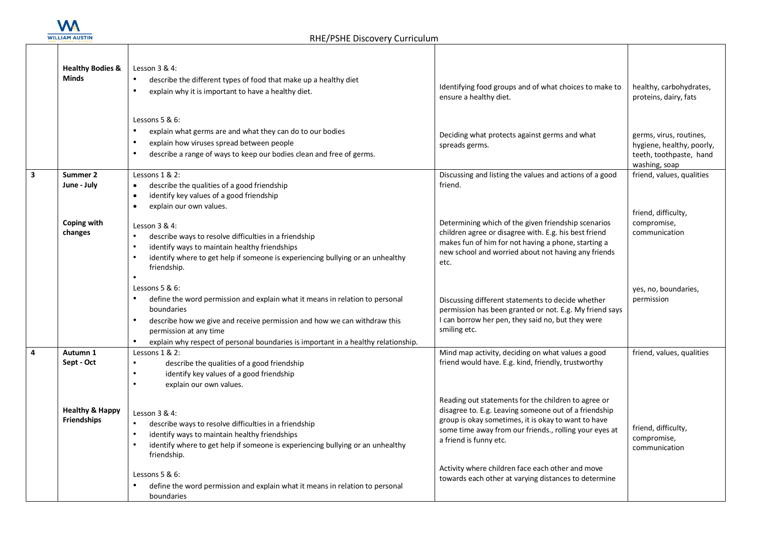

|                | <b>Healthy Bodies &amp;</b><br><b>Minds</b>      | Lesson 3 & 4:<br>$\bullet$<br>describe the different types of food that make up a healthy diet<br>$\bullet$<br>explain why it is important to have a healthy diet.<br>Lessons $5 & 6$ :<br>$\bullet$<br>explain what germs are and what they can do to our bodies                                                                     | Identifying food groups and of what choices to make to<br>ensure a healthy diet.                                                                                                                                                                                                                            | healthy, carbohydrates,<br>proteins, dairy, fats                                                 |
|----------------|--------------------------------------------------|---------------------------------------------------------------------------------------------------------------------------------------------------------------------------------------------------------------------------------------------------------------------------------------------------------------------------------------|-------------------------------------------------------------------------------------------------------------------------------------------------------------------------------------------------------------------------------------------------------------------------------------------------------------|--------------------------------------------------------------------------------------------------|
|                |                                                  | explain how viruses spread between people<br>$\bullet$<br>describe a range of ways to keep our bodies clean and free of germs.<br>$\bullet$                                                                                                                                                                                           | Deciding what protects against germs and what<br>spreads germs.                                                                                                                                                                                                                                             | germs, virus, routines,<br>hygiene, healthy, poorly,<br>teeth, toothpaste, hand<br>washing, soap |
| ن              | Summer 2<br>June - July                          | Lessons 1 & 2:<br>describe the qualities of a good friendship<br>$\bullet$<br>identify key values of a good friendship<br>$\bullet$<br>explain our own values.<br>$\bullet$                                                                                                                                                           | Discussing and listing the values and actions of a good<br>friend.                                                                                                                                                                                                                                          | friend, values, qualities                                                                        |
|                | Coping with<br>changes                           | Lesson $3 & 4$ :<br>$\bullet$<br>describe ways to resolve difficulties in a friendship<br>identify ways to maintain healthy friendships<br>$\bullet$<br>identify where to get help if someone is experiencing bullying or an unhealthy<br>friendship.<br>$\bullet$                                                                    | Determining which of the given friendship scenarios<br>children agree or disagree with. E.g. his best friend<br>makes fun of him for not having a phone, starting a<br>new school and worried about not having any friends<br>etc.                                                                          | friend, difficulty,<br>compromise,<br>communication                                              |
|                |                                                  | Lessons $5 & 6$ :<br>define the word permission and explain what it means in relation to personal<br>boundaries<br>$\bullet$<br>describe how we give and receive permission and how we can withdraw this<br>permission at any time<br>$\bullet$<br>explain why respect of personal boundaries is important in a healthy relationship. | Discussing different statements to decide whether<br>permission has been granted or not. E.g. My friend says<br>I can borrow her pen, they said no, but they were<br>smiling etc.                                                                                                                           | yes, no, boundaries,<br>permission                                                               |
| $\overline{4}$ | Autumn 1<br>Sept - Oct                           | Lessons 1 & 2:<br>describe the qualities of a good friendship<br>$\bullet$<br>identify key values of a good friendship<br>$\bullet$<br>$\bullet$<br>explain our own values.                                                                                                                                                           | Mind map activity, deciding on what values a good<br>friend would have. E.g. kind, friendly, trustworthy                                                                                                                                                                                                    | friend, values, qualities                                                                        |
|                | <b>Healthy &amp; Happy</b><br><b>Friendships</b> | Lesson $3 & 4$ :<br>describe ways to resolve difficulties in a friendship<br>$\bullet$<br>identify ways to maintain healthy friendships<br>$\bullet$<br>identify where to get help if someone is experiencing bullying or an unhealthy<br>friendship.                                                                                 | Reading out statements for the children to agree or<br>disagree to. E.g. Leaving someone out of a friendship<br>group is okay sometimes, it is okay to want to have<br>some time away from our friends., rolling your eyes at<br>a friend is funny etc.<br>Activity where children face each other and move | friend, difficulty,<br>compromise,<br>communication                                              |
|                |                                                  | Lessons $5 & 6$ :<br>define the word permission and explain what it means in relation to personal<br>boundaries                                                                                                                                                                                                                       | towards each other at varying distances to determine                                                                                                                                                                                                                                                        |                                                                                                  |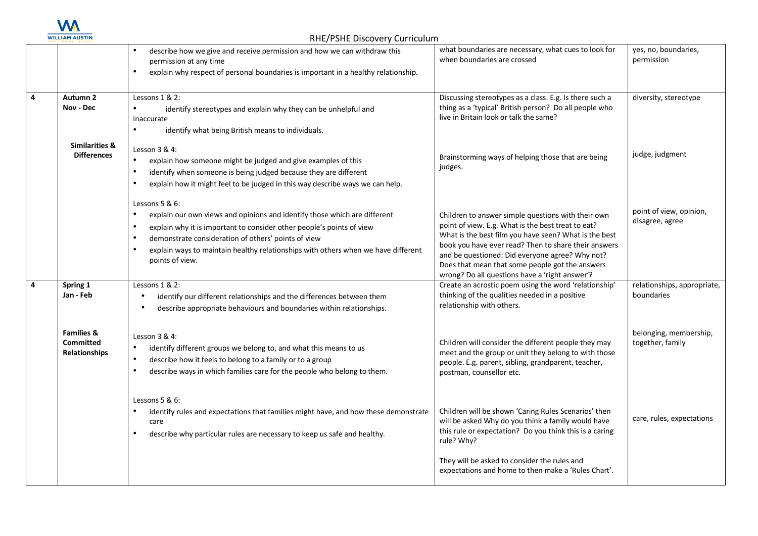

|   |                                                                   | describe how we give and receive permission and how we can withdraw this<br>permission at any time<br>explain why respect of personal boundaries is important in a healthy relationship.<br>$\bullet$                                                                                                                                                                                      | what boundaries are necessary, what cues to look for<br>when boundaries are crossed                                                                                                                                                                                                                                                                                               | yes, no, boundaries,<br>permission         |
|---|-------------------------------------------------------------------|--------------------------------------------------------------------------------------------------------------------------------------------------------------------------------------------------------------------------------------------------------------------------------------------------------------------------------------------------------------------------------------------|-----------------------------------------------------------------------------------------------------------------------------------------------------------------------------------------------------------------------------------------------------------------------------------------------------------------------------------------------------------------------------------|--------------------------------------------|
| 4 | Autumn 2<br>Nov - Dec                                             | Lessons $1 & 2$ :<br>$\bullet$<br>identify stereotypes and explain why they can be unhelpful and<br>inaccurate<br>$\bullet$<br>identify what being British means to individuals.                                                                                                                                                                                                           | Discussing stereotypes as a class. E.g. Is there such a<br>thing as a 'typical' British person? Do all people who<br>live in Britain look or talk the same?                                                                                                                                                                                                                       | diversity, stereotype                      |
|   | <b>Similarities &amp;</b><br><b>Differences</b>                   | Lesson 3 & 4:<br>$\bullet$<br>explain how someone might be judged and give examples of this<br>identify when someone is being judged because they are different<br>$\bullet$<br>$\bullet$<br>explain how it might feel to be judged in this way describe ways we can help.                                                                                                                 | Brainstorming ways of helping those that are being<br>judges.                                                                                                                                                                                                                                                                                                                     | judge, judgment                            |
|   |                                                                   | Lessons $5 & 6$ :<br>explain our own views and opinions and identify those which are different<br>$\bullet$<br>explain why it is important to consider other people's points of view<br>$\bullet$<br>demonstrate consideration of others' points of view<br>$\bullet$<br>explain ways to maintain healthy relationships with others when we have different<br>$\bullet$<br>points of view. | Children to answer simple questions with their own<br>point of view. E.g. What is the best treat to eat?<br>What is the best film you have seen? What is the best<br>book you have ever read? Then to share their answers<br>and be questioned: Did everyone agree? Why not?<br>Does that mean that some people got the answers<br>wrong? Do all questions have a 'right answer'? | point of view, opinion,<br>disagree, agree |
| 4 | Spring 1<br>Jan - Feb                                             | Lessons 1 & 2:<br>$\bullet$<br>identify our different relationships and the differences between them<br>describe appropriate behaviours and boundaries within relationships.<br>$\bullet$                                                                                                                                                                                                  | Create an acrostic poem using the word 'relationship'<br>thinking of the qualities needed in a positive<br>relationship with others.                                                                                                                                                                                                                                              | relationships, appropriate,<br>boundaries  |
|   | <b>Families &amp;</b><br><b>Committed</b><br><b>Relationships</b> | Lesson $3 & 4$ :<br>identify different groups we belong to, and what this means to us<br>$\bullet$<br>describe how it feels to belong to a family or to a group<br>$\bullet$<br>describe ways in which families care for the people who belong to them.                                                                                                                                    | Children will consider the different people they may<br>meet and the group or unit they belong to with those<br>people. E.g. parent, sibling, grandparent, teacher,<br>postman, counsellor etc.                                                                                                                                                                                   | belonging, membership,<br>together, family |
|   |                                                                   | Lessons 5 & 6:<br>identify rules and expectations that families might have, and how these demonstrate<br>care<br>describe why particular rules are necessary to keep us safe and healthy.<br>$\bullet$                                                                                                                                                                                     | Children will be shown 'Caring Rules Scenarios' then<br>will be asked Why do you think a family would have<br>this rule or expectation? Do you think this is a caring<br>rule? Why?                                                                                                                                                                                               | care, rules, expectations                  |
|   |                                                                   |                                                                                                                                                                                                                                                                                                                                                                                            | They will be asked to consider the rules and<br>expectations and home to then make a 'Rules Chart'.                                                                                                                                                                                                                                                                               |                                            |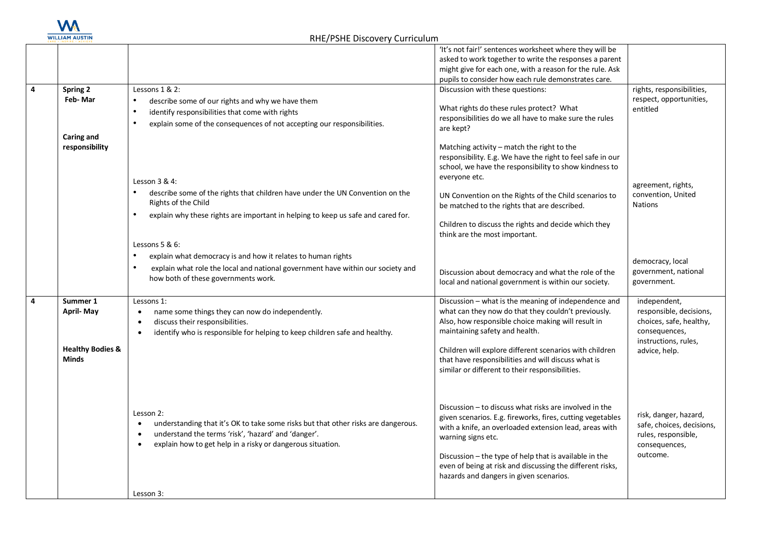

|   |                                                                             |                                                                                                                                                                                                                                               | 'It's not fair!' sentences worksheet where they will be<br>asked to work together to write the responses a parent<br>might give for each one, with a reason for the rule. Ask<br>pupils to consider how each rule demonstrates care.                                                                                                                                                  |                                                                                                                              |
|---|-----------------------------------------------------------------------------|-----------------------------------------------------------------------------------------------------------------------------------------------------------------------------------------------------------------------------------------------|---------------------------------------------------------------------------------------------------------------------------------------------------------------------------------------------------------------------------------------------------------------------------------------------------------------------------------------------------------------------------------------|------------------------------------------------------------------------------------------------------------------------------|
| 4 | <b>Spring 2</b><br>Feb-Mar                                                  | Lessons 1 & 2:<br>describe some of our rights and why we have them<br>identify responsibilities that come with rights<br>explain some of the consequences of not accepting our responsibilities.                                              | Discussion with these questions:<br>What rights do these rules protect? What<br>responsibilities do we all have to make sure the rules<br>are kept?                                                                                                                                                                                                                                   | rights, responsibilities,<br>respect, opportunities,<br>entitled                                                             |
|   | Caring and<br>responsibility                                                | Lesson 3 & 4:<br>describe some of the rights that children have under the UN Convention on the<br>Rights of the Child<br>explain why these rights are important in helping to keep us safe and cared for.<br>Lessons $5 & 6$ :                | Matching activity – match the right to the<br>responsibility. E.g. We have the right to feel safe in our<br>school, we have the responsibility to show kindness to<br>everyone etc.<br>UN Convention on the Rights of the Child scenarios to<br>be matched to the rights that are described.<br>Children to discuss the rights and decide which they<br>think are the most important. | agreement, rights,<br>convention, United<br><b>Nations</b>                                                                   |
|   |                                                                             | explain what democracy is and how it relates to human rights<br>explain what role the local and national government have within our society and<br>how both of these governments work.                                                        | Discussion about democracy and what the role of the<br>local and national government is within our society.                                                                                                                                                                                                                                                                           | democracy, local<br>government, national<br>government.                                                                      |
| 4 | Summer 1<br><b>April-May</b><br><b>Healthy Bodies &amp;</b><br><b>Minds</b> | Lessons 1:<br>name some things they can now do independently.<br>$\bullet$<br>discuss their responsibilities.<br>$\bullet$<br>identify who is responsible for helping to keep children safe and healthy.<br>$\bullet$                         | Discussion - what is the meaning of independence and<br>what can they now do that they couldn't previously.<br>Also, how responsible choice making will result in<br>maintaining safety and health.<br>Children will explore different scenarios with children<br>that have responsibilities and will discuss what is<br>similar or different to their responsibilities.              | independent,<br>responsible, decisions,<br>choices, safe, healthy,<br>consequences,<br>instructions, rules,<br>advice, help. |
|   |                                                                             | Lesson 2:<br>understanding that it's OK to take some risks but that other risks are dangerous.<br>understand the terms 'risk', 'hazard' and 'danger'.<br>$\bullet$<br>explain how to get help in a risky or dangerous situation.<br>Lesson 3: | Discussion - to discuss what risks are involved in the<br>given scenarios. E.g. fireworks, fires, cutting vegetables<br>with a knife, an overloaded extension lead, areas with<br>warning signs etc.<br>Discussion - the type of help that is available in the<br>even of being at risk and discussing the different risks,<br>hazards and dangers in given scenarios.                | risk, danger, hazard,<br>safe, choices, decisions,<br>rules, responsible,<br>consequences,<br>outcome.                       |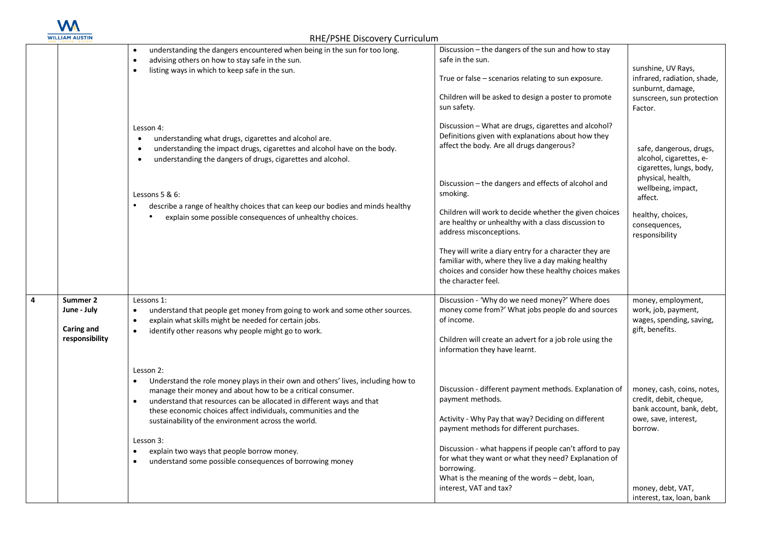

|                                                         | $\frac{1}{2}$ $\frac{1}{2}$ $\frac{1}{2}$ $\frac{1}{2}$ $\frac{1}{2}$ $\frac{1}{2}$ $\frac{1}{2}$ $\frac{1}{2}$ $\frac{1}{2}$ $\frac{1}{2}$ $\frac{1}{2}$ $\frac{1}{2}$ $\frac{1}{2}$ $\frac{1}{2}$ $\frac{1}{2}$ $\frac{1}{2}$ $\frac{1}{2}$ $\frac{1}{2}$ $\frac{1}{2}$ $\frac{1}{2}$ $\frac{1}{2}$ $\frac{1}{2}$  |                                                                                                                                                                                              |                                                                                          |
|---------------------------------------------------------|----------------------------------------------------------------------------------------------------------------------------------------------------------------------------------------------------------------------------------------------------------------------------------------------------------------------|----------------------------------------------------------------------------------------------------------------------------------------------------------------------------------------------|------------------------------------------------------------------------------------------|
|                                                         | understanding the dangers encountered when being in the sun for too long.<br>advising others on how to stay safe in the sun.                                                                                                                                                                                         | Discussion - the dangers of the sun and how to stay<br>safe in the sun.                                                                                                                      |                                                                                          |
|                                                         | listing ways in which to keep safe in the sun.                                                                                                                                                                                                                                                                       | True or false - scenarios relating to sun exposure.                                                                                                                                          | sunshine, UV Rays,<br>infrared, radiation, shade,<br>sunburnt, damage,                   |
|                                                         |                                                                                                                                                                                                                                                                                                                      | Children will be asked to design a poster to promote<br>sun safety.                                                                                                                          | sunscreen, sun protection<br>Factor.                                                     |
|                                                         | Lesson 4:<br>understanding what drugs, cigarettes and alcohol are.<br>$\bullet$<br>understanding the impact drugs, cigarettes and alcohol have on the body.<br>$\bullet$<br>understanding the dangers of drugs, cigarettes and alcohol.<br>$\bullet$                                                                 | Discussion - What are drugs, cigarettes and alcohol?<br>Definitions given with explanations about how they<br>affect the body. Are all drugs dangerous?                                      | safe, dangerous, drugs,<br>alcohol, cigarettes, e-<br>cigarettes, lungs, body,           |
|                                                         | Lessons 5 & 6:                                                                                                                                                                                                                                                                                                       | Discussion - the dangers and effects of alcohol and<br>smoking.                                                                                                                              | physical, health,<br>wellbeing, impact,<br>affect.                                       |
|                                                         | describe a range of healthy choices that can keep our bodies and minds healthy<br>explain some possible consequences of unhealthy choices.                                                                                                                                                                           | Children will work to decide whether the given choices<br>are healthy or unhealthy with a class discussion to<br>address misconceptions.                                                     | healthy, choices,<br>consequences,<br>responsibility                                     |
|                                                         |                                                                                                                                                                                                                                                                                                                      | They will write a diary entry for a character they are<br>familiar with, where they live a day making healthy<br>choices and consider how these healthy choices makes<br>the character feel. |                                                                                          |
| Summer 2<br>June - July<br>Caring and<br>responsibility | Lessons 1:<br>understand that people get money from going to work and some other sources.<br>explain what skills might be needed for certain jobs.<br>$\bullet$<br>identify other reasons why people might go to work.                                                                                               | Discussion - 'Why do we need money?' Where does<br>money come from?' What jobs people do and sources<br>of income.<br>Children will create an advert for a job role using the                | money, employment,<br>work, job, payment,<br>wages, spending, saving,<br>gift, benefits. |
|                                                         |                                                                                                                                                                                                                                                                                                                      | information they have learnt.                                                                                                                                                                |                                                                                          |
|                                                         | Lesson 2:<br>Understand the role money plays in their own and others' lives, including how to<br>manage their money and about how to be a critical consumer.<br>understand that resources can be allocated in different ways and that<br>$\bullet$<br>these economic choices affect individuals, communities and the | Discussion - different payment methods. Explanation of<br>payment methods.                                                                                                                   | money, cash, coins, notes,<br>credit, debit, cheque,<br>bank account, bank, debt,        |
|                                                         | sustainability of the environment across the world.                                                                                                                                                                                                                                                                  | Activity - Why Pay that way? Deciding on different<br>payment methods for different purchases.                                                                                               | owe, save, interest,<br>borrow.                                                          |
|                                                         | Lesson 3:<br>explain two ways that people borrow money.<br>understand some possible consequences of borrowing money                                                                                                                                                                                                  | Discussion - what happens if people can't afford to pay<br>for what they want or what they need? Explanation of<br>borrowing.<br>What is the meaning of the words - debt, loan,              |                                                                                          |
|                                                         |                                                                                                                                                                                                                                                                                                                      | interest, VAT and tax?                                                                                                                                                                       | money, debt, VAT,<br>interest, tax, loan, bank                                           |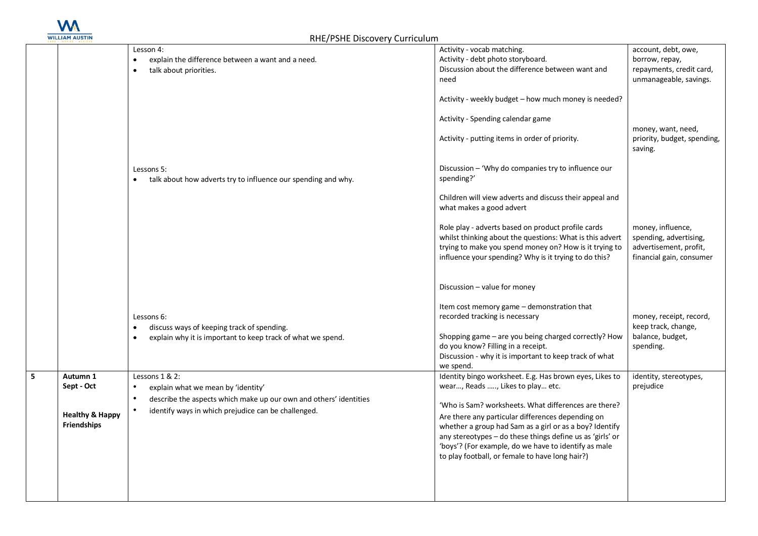

|                                                                            | Lesson 4:<br>explain the difference between a want and a need.<br>talk about priorities.<br>$\bullet$                                                                                         | Activity - vocab matching.<br>Activity - debt photo storyboard.<br>Discussion about the difference between want and<br>need<br>Activity - weekly budget - how much money is needed?<br>Activity - Spending calendar game<br>Activity - putting items in order of priority.                                                                                                                                                                  | account, debt, owe,<br>borrow, repay,<br>repayments, credit card,<br>unmanageable, savings.<br>money, want, need,<br>priority, budget, spending,<br>saving. |
|----------------------------------------------------------------------------|-----------------------------------------------------------------------------------------------------------------------------------------------------------------------------------------------|---------------------------------------------------------------------------------------------------------------------------------------------------------------------------------------------------------------------------------------------------------------------------------------------------------------------------------------------------------------------------------------------------------------------------------------------|-------------------------------------------------------------------------------------------------------------------------------------------------------------|
|                                                                            | Lessons 5:<br>talk about how adverts try to influence our spending and why.                                                                                                                   | Discussion - 'Why do companies try to influence our<br>spending?'<br>Children will view adverts and discuss their appeal and<br>what makes a good advert<br>Role play - adverts based on product profile cards<br>whilst thinking about the questions: What is this advert<br>trying to make you spend money on? How is it trying to<br>influence your spending? Why is it trying to do this?                                               | money, influence,<br>spending, advertising,<br>advertisement, profit,<br>financial gain, consumer                                                           |
|                                                                            | Lessons 6:<br>discuss ways of keeping track of spending.<br>$\bullet$<br>explain why it is important to keep track of what we spend.<br>$\bullet$                                             | Discussion - value for money<br>Item cost memory game - demonstration that<br>recorded tracking is necessary<br>Shopping game - are you being charged correctly? How<br>do you know? Filling in a receipt.<br>Discussion - why it is important to keep track of what<br>we spend.                                                                                                                                                           | money, receipt, record,<br>keep track, change,<br>balance, budget,<br>spending.                                                                             |
| Autumn 1<br>Sept - Oct<br><b>Healthy &amp; Happy</b><br><b>Friendships</b> | Lessons 1 & 2:<br>explain what we mean by 'identity'<br>$\bullet$<br>describe the aspects which make up our own and others' identities<br>identify ways in which prejudice can be challenged. | Identity bingo worksheet. E.g. Has brown eyes, Likes to<br>wear, Reads , Likes to play etc.<br>'Who is Sam? worksheets. What differences are there?<br>Are there any particular differences depending on<br>whether a group had Sam as a girl or as a boy? Identify<br>any stereotypes - do these things define us as 'girls' or<br>'boys'? (For example, do we have to identify as male<br>to play football, or female to have long hair?) | identity, stereotypes,<br>prejudice                                                                                                                         |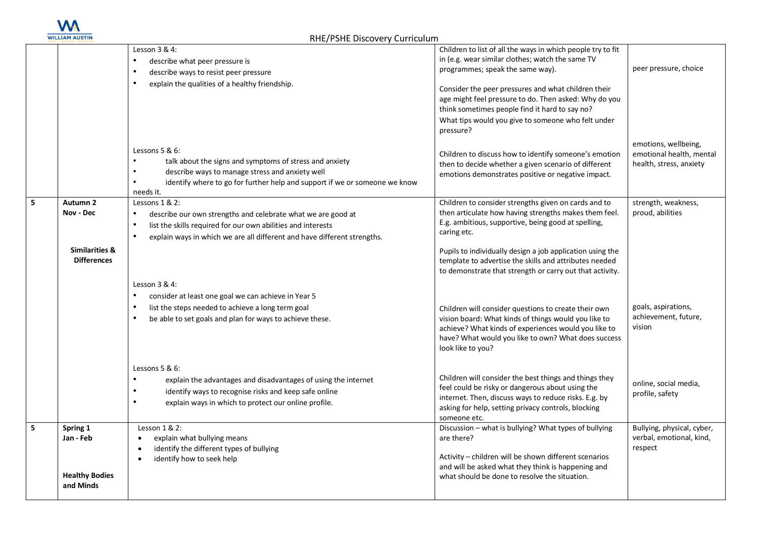

|                |                           | Lesson 3 & 4:                                                                                                           | Children to list of all the ways in which people try to fit                                         |                            |
|----------------|---------------------------|-------------------------------------------------------------------------------------------------------------------------|-----------------------------------------------------------------------------------------------------|----------------------------|
|                |                           | describe what peer pressure is<br>$\bullet$                                                                             | in (e.g. wear similar clothes; watch the same TV                                                    |                            |
|                |                           | describe ways to resist peer pressure<br>$\bullet$                                                                      | programmes; speak the same way).                                                                    | peer pressure, choice      |
|                |                           | $\bullet$<br>explain the qualities of a healthy friendship.                                                             | Consider the peer pressures and what children their                                                 |                            |
|                |                           |                                                                                                                         | age might feel pressure to do. Then asked: Why do you                                               |                            |
|                |                           |                                                                                                                         | think sometimes people find it hard to say no?                                                      |                            |
|                |                           |                                                                                                                         | What tips would you give to someone who felt under                                                  |                            |
|                |                           |                                                                                                                         | pressure?                                                                                           |                            |
|                |                           |                                                                                                                         |                                                                                                     | emotions, wellbeing,       |
|                |                           | Lessons $5 & 6$ :                                                                                                       | Children to discuss how to identify someone's emotion                                               | emotional health, mental   |
|                |                           | talk about the signs and symptoms of stress and anxiety<br>describe ways to manage stress and anxiety well<br>$\bullet$ | then to decide whether a given scenario of different                                                | health, stress, anxiety    |
|                |                           | identify where to go for further help and support if we or someone we know                                              | emotions demonstrates positive or negative impact.                                                  |                            |
|                |                           | needs it.                                                                                                               |                                                                                                     |                            |
| 5              | Autumn 2                  | Lessons 1 & 2:                                                                                                          | Children to consider strengths given on cards and to                                                | strength, weakness,        |
|                | Nov - Dec                 | $\bullet$<br>describe our own strengths and celebrate what we are good at                                               | then articulate how having strengths makes them feel.                                               | proud, abilities           |
|                |                           | list the skills required for our own abilities and interests<br>$\bullet$                                               | E.g. ambitious, supportive, being good at spelling,                                                 |                            |
|                |                           | explain ways in which we are all different and have different strengths.<br>$\bullet$                                   | caring etc.                                                                                         |                            |
|                | <b>Similarities &amp;</b> |                                                                                                                         | Pupils to individually design a job application using the                                           |                            |
|                | <b>Differences</b>        |                                                                                                                         | template to advertise the skills and attributes needed                                              |                            |
|                |                           |                                                                                                                         | to demonstrate that strength or carry out that activity.                                            |                            |
|                |                           | Lesson $3 & 4$ :                                                                                                        |                                                                                                     |                            |
|                |                           | consider at least one goal we can achieve in Year 5                                                                     |                                                                                                     |                            |
|                |                           | list the steps needed to achieve a long term goal<br>$\bullet$                                                          | Children will consider questions to create their own                                                | goals, aspirations,        |
|                |                           | be able to set goals and plan for ways to achieve these.<br>$\bullet$                                                   | vision board: What kinds of things would you like to                                                | achievement, future,       |
|                |                           |                                                                                                                         | achieve? What kinds of experiences would you like to                                                | vision                     |
|                |                           |                                                                                                                         | have? What would you like to own? What does success<br>look like to you?                            |                            |
|                |                           |                                                                                                                         |                                                                                                     |                            |
|                |                           | Lessons $5 & 6$ :                                                                                                       |                                                                                                     |                            |
|                |                           | $\bullet$<br>explain the advantages and disadvantages of using the internet                                             | Children will consider the best things and things they                                              | online, social media,      |
|                |                           | identify ways to recognise risks and keep safe online<br>$\bullet$                                                      | feel could be risky or dangerous about using the                                                    | profile, safety            |
|                |                           | explain ways in which to protect our online profile.<br>$\bullet$                                                       | internet. Then, discuss ways to reduce risks. E.g. by                                               |                            |
|                |                           |                                                                                                                         | asking for help, setting privacy controls, blocking<br>someone etc.                                 |                            |
| 5 <sup>1</sup> | Spring 1                  | Lesson $1 & 2$ :                                                                                                        | Discussion - what is bullying? What types of bullying                                               | Bullying, physical, cyber, |
|                | Jan - Feb                 | explain what bullying means                                                                                             | are there?                                                                                          | verbal, emotional, kind,   |
|                |                           | identify the different types of bullying                                                                                |                                                                                                     | respect                    |
|                |                           | identify how to seek help<br>$\bullet$                                                                                  | Activity - children will be shown different scenarios                                               |                            |
|                | <b>Healthy Bodies</b>     |                                                                                                                         | and will be asked what they think is happening and<br>what should be done to resolve the situation. |                            |
|                | and Minds                 |                                                                                                                         |                                                                                                     |                            |
|                |                           |                                                                                                                         |                                                                                                     |                            |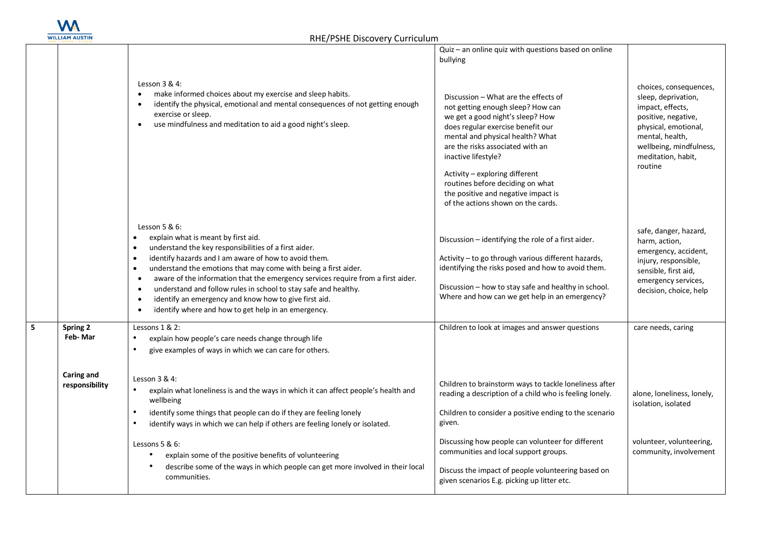

|   |                              | Lesson 3 & 4:<br>make informed choices about my exercise and sleep habits.<br>$\bullet$<br>identify the physical, emotional and mental consequences of not getting enough<br>$\bullet$<br>exercise or sleep.<br>use mindfulness and meditation to aid a good night's sleep.<br>$\bullet$                                                                                                                                                                                                                                                                                                          | Quiz - an online quiz with questions based on online<br>bullying<br>Discussion - What are the effects of<br>not getting enough sleep? How can<br>we get a good night's sleep? How<br>does regular exercise benefit our<br>mental and physical health? What<br>are the risks associated with an<br>inactive lifestyle?<br>Activity - exploring different<br>routines before deciding on what<br>the positive and negative impact is<br>of the actions shown on the cards. | choices, consequences,<br>sleep, deprivation,<br>impact, effects,<br>positive, negative,<br>physical, emotional,<br>mental, health,<br>wellbeing, mindfulness,<br>meditation, habit,<br>routine |
|---|------------------------------|---------------------------------------------------------------------------------------------------------------------------------------------------------------------------------------------------------------------------------------------------------------------------------------------------------------------------------------------------------------------------------------------------------------------------------------------------------------------------------------------------------------------------------------------------------------------------------------------------|--------------------------------------------------------------------------------------------------------------------------------------------------------------------------------------------------------------------------------------------------------------------------------------------------------------------------------------------------------------------------------------------------------------------------------------------------------------------------|-------------------------------------------------------------------------------------------------------------------------------------------------------------------------------------------------|
|   |                              | Lesson $5 & 6$ :<br>explain what is meant by first aid.<br>$\bullet$<br>understand the key responsibilities of a first aider.<br>identify hazards and I am aware of how to avoid them.<br>understand the emotions that may come with being a first aider.<br>$\bullet$<br>aware of the information that the emergency services require from a first aider.<br>$\bullet$<br>understand and follow rules in school to stay safe and healthy.<br>$\bullet$<br>identify an emergency and know how to give first aid.<br>$\bullet$<br>identify where and how to get help in an emergency.<br>$\bullet$ | Discussion - identifying the role of a first aider.<br>Activity - to go through various different hazards,<br>identifying the risks posed and how to avoid them.<br>Discussion - how to stay safe and healthy in school.<br>Where and how can we get help in an emergency?                                                                                                                                                                                               | safe, danger, hazard,<br>harm, action,<br>emergency, accident,<br>injury, responsible,<br>sensible, first aid,<br>emergency services,<br>decision, choice, help                                 |
| 5 | Spring 2<br>Feb-Mar          | Lessons 1 & 2:<br>explain how people's care needs change through life<br>give examples of ways in which we can care for others.<br>$\bullet$                                                                                                                                                                                                                                                                                                                                                                                                                                                      | Children to look at images and answer questions                                                                                                                                                                                                                                                                                                                                                                                                                          | care needs, caring                                                                                                                                                                              |
|   | Caring and<br>responsibility | Lesson $3 & 4$ :<br>$\bullet$<br>explain what loneliness is and the ways in which it can affect people's health and<br>wellbeing<br>identify some things that people can do if they are feeling lonely<br>identify ways in which we can help if others are feeling lonely or isolated.<br>Lessons $5 & 6$ :<br>explain some of the positive benefits of volunteering<br>describe some of the ways in which people can get more involved in their local<br>communities.                                                                                                                            | Children to brainstorm ways to tackle loneliness after<br>reading a description of a child who is feeling lonely.<br>Children to consider a positive ending to the scenario<br>given.<br>Discussing how people can volunteer for different<br>communities and local support groups.<br>Discuss the impact of people volunteering based on<br>given scenarios E.g. picking up litter etc.                                                                                 | alone, loneliness, lonely,<br>isolation, isolated<br>volunteer, volunteering,<br>community, involvement                                                                                         |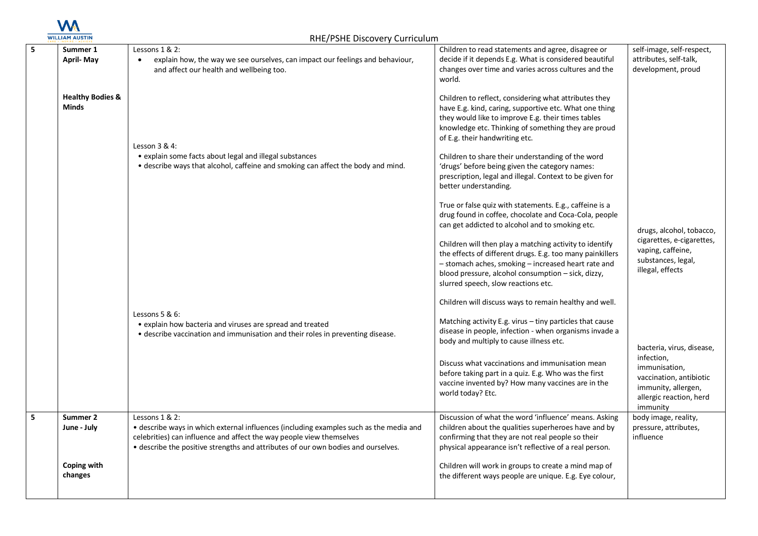

| 5 | Summer 1<br><b>April-May</b>                | Lessons 1 & 2:<br>explain how, the way we see ourselves, can impact our feelings and behaviour,<br>and affect our health and wellbeing too.                                                                                                                           | Children to read statements and agree, disagree or<br>decide if it depends E.g. What is considered beautiful<br>changes over time and varies across cultures and the<br>world.                                                                                                                                                                                                                                                                                                                            | self-image, self-respect,<br>attributes, self-talk,<br>development, proud                                                                         |
|---|---------------------------------------------|-----------------------------------------------------------------------------------------------------------------------------------------------------------------------------------------------------------------------------------------------------------------------|-----------------------------------------------------------------------------------------------------------------------------------------------------------------------------------------------------------------------------------------------------------------------------------------------------------------------------------------------------------------------------------------------------------------------------------------------------------------------------------------------------------|---------------------------------------------------------------------------------------------------------------------------------------------------|
|   | <b>Healthy Bodies &amp;</b><br><b>Minds</b> | Lesson 3 & 4:<br>• explain some facts about legal and illegal substances<br>• describe ways that alcohol, caffeine and smoking can affect the body and mind.                                                                                                          | Children to reflect, considering what attributes they<br>have E.g. kind, caring, supportive etc. What one thing<br>they would like to improve E.g. their times tables<br>knowledge etc. Thinking of something they are proud<br>of E.g. their handwriting etc.<br>Children to share their understanding of the word<br>'drugs' before being given the category names:<br>prescription, legal and illegal. Context to be given for<br>better understanding.                                                |                                                                                                                                                   |
|   |                                             |                                                                                                                                                                                                                                                                       | True or false quiz with statements. E.g., caffeine is a<br>drug found in coffee, chocolate and Coca-Cola, people<br>can get addicted to alcohol and to smoking etc.<br>Children will then play a matching activity to identify<br>the effects of different drugs. E.g. too many painkillers<br>- stomach aches, smoking - increased heart rate and<br>blood pressure, alcohol consumption - sick, dizzy,<br>slurred speech, slow reactions etc.<br>Children will discuss ways to remain healthy and well. | drugs, alcohol, tobacco,<br>cigarettes, e-cigarettes,<br>vaping, caffeine,<br>substances, legal,<br>illegal, effects                              |
|   |                                             | Lessons $5 & 6$ :<br>• explain how bacteria and viruses are spread and treated<br>• describe vaccination and immunisation and their roles in preventing disease.                                                                                                      | Matching activity E.g. virus - tiny particles that cause<br>disease in people, infection - when organisms invade a<br>body and multiply to cause illness etc.<br>Discuss what vaccinations and immunisation mean<br>before taking part in a quiz. E.g. Who was the first<br>vaccine invented by? How many vaccines are in the<br>world today? Etc.                                                                                                                                                        | bacteria, virus, disease,<br>infection,<br>immunisation,<br>vaccination, antibiotic<br>immunity, allergen,<br>allergic reaction, herd<br>immunity |
|   | Summer 2<br>June - July                     | Lessons 1 & 2:<br>• describe ways in which external influences (including examples such as the media and<br>celebrities) can influence and affect the way people view themselves<br>• describe the positive strengths and attributes of our own bodies and ourselves. | Discussion of what the word 'influence' means. Asking<br>children about the qualities superheroes have and by<br>confirming that they are not real people so their<br>physical appearance isn't reflective of a real person.                                                                                                                                                                                                                                                                              | body image, reality,<br>pressure, attributes,<br>influence                                                                                        |
|   | Coping with<br>changes                      |                                                                                                                                                                                                                                                                       | Children will work in groups to create a mind map of<br>the different ways people are unique. E.g. Eye colour,                                                                                                                                                                                                                                                                                                                                                                                            |                                                                                                                                                   |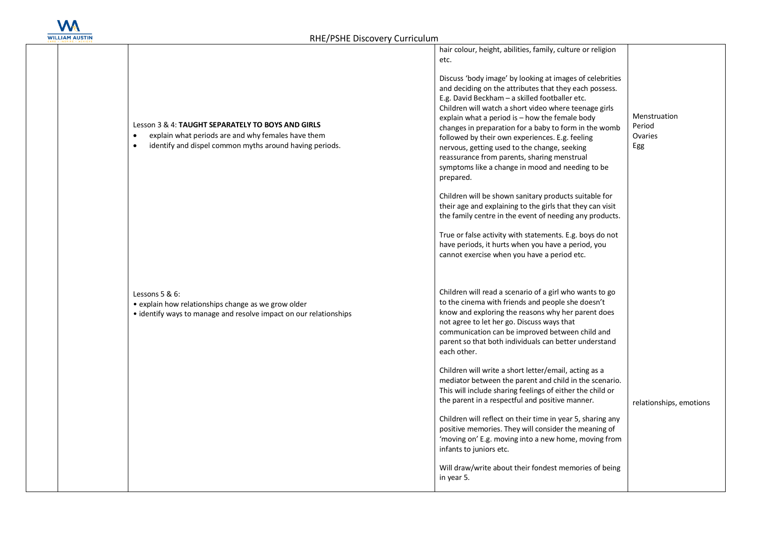

| Lesson 3 & 4: TAUGHT SEPARATELY TO BOYS AND GIRLS<br>explain what periods are and why females have them<br>$\bullet$<br>identify and dispel common myths around having periods.<br>$\bullet$ | hair colour, height, abilities, family, culture or religion<br>etc.<br>Discuss 'body image' by looking at images of celebrities<br>and deciding on the attributes that they each possess.<br>E.g. David Beckham - a skilled footballer etc.<br>Children will watch a short video where teenage girls<br>explain what a period is - how the female body<br>changes in preparation for a baby to form in the womb<br>followed by their own experiences. E.g. feeling<br>nervous, getting used to the change, seeking<br>reassurance from parents, sharing menstrual<br>symptoms like a change in mood and needing to be<br>prepared.<br>Children will be shown sanitary products suitable for<br>their age and explaining to the girls that they can visit<br>the family centre in the event of needing any products.<br>True or false activity with statements. E.g. boys do not<br>have periods, it hurts when you have a period, you<br>cannot exercise when you have a period etc. | Menstruation<br>Period<br>Ovaries<br>Egg |
|----------------------------------------------------------------------------------------------------------------------------------------------------------------------------------------------|--------------------------------------------------------------------------------------------------------------------------------------------------------------------------------------------------------------------------------------------------------------------------------------------------------------------------------------------------------------------------------------------------------------------------------------------------------------------------------------------------------------------------------------------------------------------------------------------------------------------------------------------------------------------------------------------------------------------------------------------------------------------------------------------------------------------------------------------------------------------------------------------------------------------------------------------------------------------------------------|------------------------------------------|
| Lessons 5 & 6:<br>• explain how relationships change as we grow older<br>• identify ways to manage and resolve impact on our relationships                                                   | Children will read a scenario of a girl who wants to go<br>to the cinema with friends and people she doesn't<br>know and exploring the reasons why her parent does<br>not agree to let her go. Discuss ways that<br>communication can be improved between child and<br>parent so that both individuals can better understand<br>each other.<br>Children will write a short letter/email, acting as a<br>mediator between the parent and child in the scenario.<br>This will include sharing feelings of either the child or<br>the parent in a respectful and positive manner.<br>Children will reflect on their time in year 5, sharing any<br>positive memories. They will consider the meaning of<br>'moving on' E.g. moving into a new home, moving from<br>infants to juniors etc.<br>Will draw/write about their fondest memories of being<br>in year 5.                                                                                                                       | relationships, emotions                  |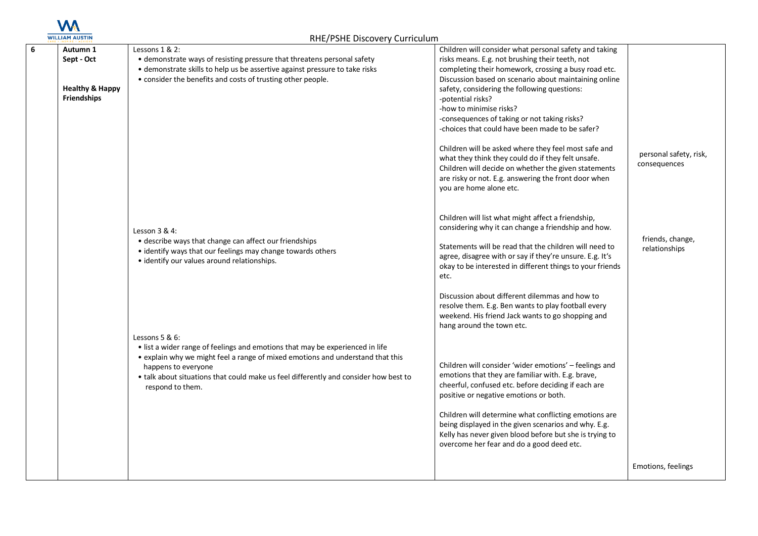

| 6 | Autumn 1<br>Sept - Oct<br><b>Healthy &amp; Happy</b><br><b>Friendships</b> | Lessons $1 & 2$ :<br>• demonstrate ways of resisting pressure that threatens personal safety<br>• demonstrate skills to help us be assertive against pressure to take risks<br>• consider the benefits and costs of trusting other people.                                                                           | Children will consider what personal safety and taking<br>risks means. E.g. not brushing their teeth, not<br>completing their homework, crossing a busy road etc.<br>Discussion based on scenario about maintaining online<br>safety, considering the following questions:<br>-potential risks?<br>-how to minimise risks?<br>-consequences of taking or not taking risks?<br>-choices that could have been made to be safer?<br>Children will be asked where they feel most safe and<br>what they think they could do if they felt unsafe.<br>Children will decide on whether the given statements<br>are risky or not. E.g. answering the front door when<br>you are home alone etc. | personal safety, risk,<br>consequences |
|---|----------------------------------------------------------------------------|----------------------------------------------------------------------------------------------------------------------------------------------------------------------------------------------------------------------------------------------------------------------------------------------------------------------|----------------------------------------------------------------------------------------------------------------------------------------------------------------------------------------------------------------------------------------------------------------------------------------------------------------------------------------------------------------------------------------------------------------------------------------------------------------------------------------------------------------------------------------------------------------------------------------------------------------------------------------------------------------------------------------|----------------------------------------|
|   |                                                                            | Lesson $3 & 4$ :<br>• describe ways that change can affect our friendships<br>• identify ways that our feelings may change towards others<br>· identify our values around relationships.                                                                                                                             | Children will list what might affect a friendship,<br>considering why it can change a friendship and how.<br>Statements will be read that the children will need to<br>agree, disagree with or say if they're unsure. E.g. It's<br>okay to be interested in different things to your friends<br>etc.<br>Discussion about different dilemmas and how to<br>resolve them. E.g. Ben wants to play football every<br>weekend. His friend Jack wants to go shopping and<br>hang around the town etc.                                                                                                                                                                                        | friends, change,<br>relationships      |
|   |                                                                            | Lessons 5 & 6:<br>• list a wider range of feelings and emotions that may be experienced in life<br>• explain why we might feel a range of mixed emotions and understand that this<br>happens to everyone<br>• talk about situations that could make us feel differently and consider how best to<br>respond to them. | Children will consider 'wider emotions' - feelings and<br>emotions that they are familiar with. E.g. brave,<br>cheerful, confused etc. before deciding if each are<br>positive or negative emotions or both.<br>Children will determine what conflicting emotions are<br>being displayed in the given scenarios and why. E.g.<br>Kelly has never given blood before but she is trying to<br>overcome her fear and do a good deed etc.                                                                                                                                                                                                                                                  | Emotions, feelings                     |
|   |                                                                            |                                                                                                                                                                                                                                                                                                                      |                                                                                                                                                                                                                                                                                                                                                                                                                                                                                                                                                                                                                                                                                        |                                        |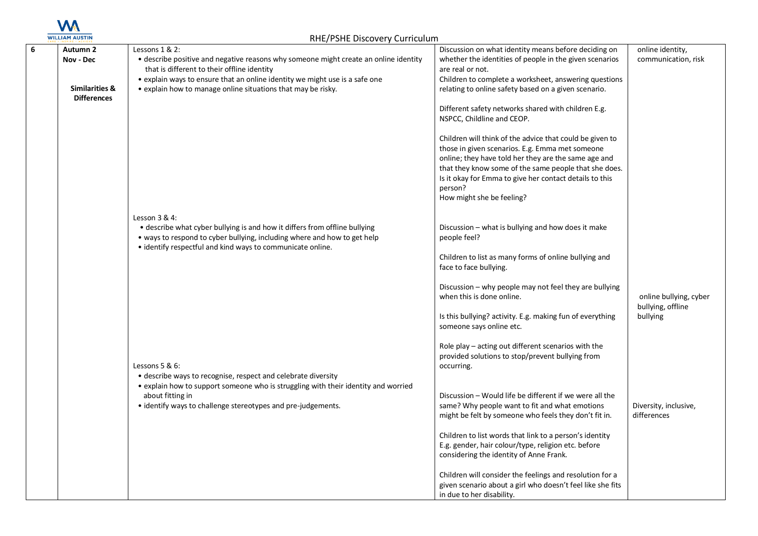

| 6 | Autumn 2                  | Lessons 1 & 2:                                                                       |                                                                                                                 |                                         |
|---|---------------------------|--------------------------------------------------------------------------------------|-----------------------------------------------------------------------------------------------------------------|-----------------------------------------|
|   | Nov - Dec                 | • describe positive and negative reasons why someone might create an online identity | Discussion on what identity means before deciding on<br>whether the identities of people in the given scenarios | online identity,<br>communication, risk |
|   |                           | that is different to their offline identity                                          | are real or not.                                                                                                |                                         |
|   |                           | • explain ways to ensure that an online identity we might use is a safe one          | Children to complete a worksheet, answering questions                                                           |                                         |
|   | <b>Similarities &amp;</b> | • explain how to manage online situations that may be risky.                         | relating to online safety based on a given scenario.                                                            |                                         |
|   | <b>Differences</b>        |                                                                                      |                                                                                                                 |                                         |
|   |                           |                                                                                      | Different safety networks shared with children E.g.                                                             |                                         |
|   |                           |                                                                                      | NSPCC, Childline and CEOP.                                                                                      |                                         |
|   |                           |                                                                                      |                                                                                                                 |                                         |
|   |                           |                                                                                      | Children will think of the advice that could be given to                                                        |                                         |
|   |                           |                                                                                      | those in given scenarios. E.g. Emma met someone                                                                 |                                         |
|   |                           |                                                                                      | online; they have told her they are the same age and                                                            |                                         |
|   |                           |                                                                                      | that they know some of the same people that she does.                                                           |                                         |
|   |                           |                                                                                      | Is it okay for Emma to give her contact details to this                                                         |                                         |
|   |                           |                                                                                      | person?                                                                                                         |                                         |
|   |                           |                                                                                      | How might she be feeling?                                                                                       |                                         |
|   |                           |                                                                                      |                                                                                                                 |                                         |
|   |                           | Lesson $3 & 4$ :                                                                     |                                                                                                                 |                                         |
|   |                           | • describe what cyber bullying is and how it differs from offline bullying           | Discussion - what is bullying and how does it make                                                              |                                         |
|   |                           | • ways to respond to cyber bullying, including where and how to get help             | people feel?                                                                                                    |                                         |
|   |                           | • identify respectful and kind ways to communicate online.                           |                                                                                                                 |                                         |
|   |                           |                                                                                      | Children to list as many forms of online bullying and                                                           |                                         |
|   |                           |                                                                                      | face to face bullying.                                                                                          |                                         |
|   |                           |                                                                                      |                                                                                                                 |                                         |
|   |                           |                                                                                      | Discussion – why people may not feel they are bullying                                                          |                                         |
|   |                           |                                                                                      | when this is done online.                                                                                       | online bullying, cyber                  |
|   |                           |                                                                                      |                                                                                                                 | bullying, offline                       |
|   |                           |                                                                                      | Is this bullying? activity. E.g. making fun of everything                                                       | bullying                                |
|   |                           |                                                                                      | someone says online etc.                                                                                        |                                         |
|   |                           |                                                                                      |                                                                                                                 |                                         |
|   |                           |                                                                                      | Role play - acting out different scenarios with the                                                             |                                         |
|   |                           |                                                                                      | provided solutions to stop/prevent bullying from                                                                |                                         |
|   |                           | Lessons 5 & 6:<br>• describe ways to recognise, respect and celebrate diversity      | occurring.                                                                                                      |                                         |
|   |                           | • explain how to support someone who is struggling with their identity and worried   |                                                                                                                 |                                         |
|   |                           | about fitting in                                                                     | Discussion - Would life be different if we were all the                                                         |                                         |
|   |                           | • identify ways to challenge stereotypes and pre-judgements.                         | same? Why people want to fit and what emotions                                                                  | Diversity, inclusive,                   |
|   |                           |                                                                                      | might be felt by someone who feels they don't fit in.                                                           | differences                             |
|   |                           |                                                                                      |                                                                                                                 |                                         |
|   |                           |                                                                                      | Children to list words that link to a person's identity                                                         |                                         |
|   |                           |                                                                                      | E.g. gender, hair colour/type, religion etc. before                                                             |                                         |
|   |                           |                                                                                      | considering the identity of Anne Frank.                                                                         |                                         |
|   |                           |                                                                                      |                                                                                                                 |                                         |
|   |                           |                                                                                      | Children will consider the feelings and resolution for a                                                        |                                         |
|   |                           |                                                                                      | given scenario about a girl who doesn't feel like she fits                                                      |                                         |
|   |                           |                                                                                      | in due to her disability.                                                                                       |                                         |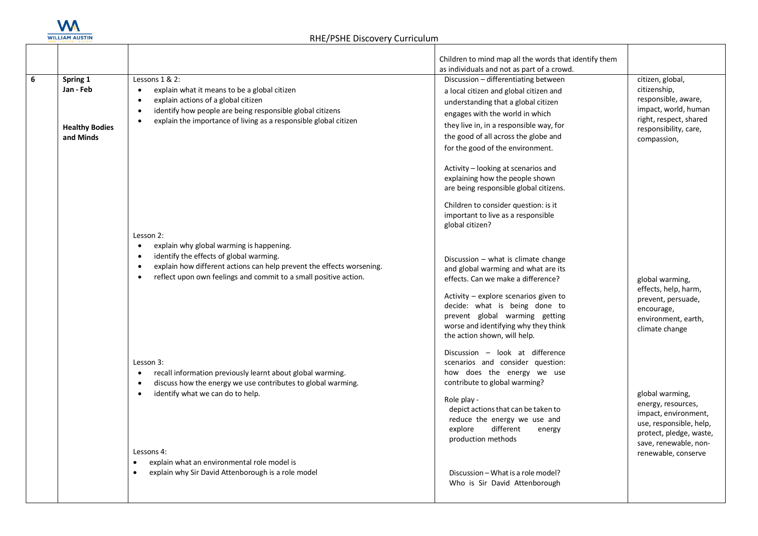

|   |                       |                                                                                                                             | Children to mind map all the words that identify them                     |                                       |
|---|-----------------------|-----------------------------------------------------------------------------------------------------------------------------|---------------------------------------------------------------------------|---------------------------------------|
|   |                       |                                                                                                                             | as individuals and not as part of a crowd.                                |                                       |
| 6 | Spring 1<br>Jan - Feb | Lessons 1 & 2:                                                                                                              | Discussion - differentiating between                                      | citizen, global,<br>citizenship,      |
|   |                       | explain what it means to be a global citizen<br>$\bullet$<br>explain actions of a global citizen<br>$\bullet$               | a local citizen and global citizen and                                    | responsible, aware,                   |
|   |                       | identify how people are being responsible global citizens<br>$\bullet$                                                      | understanding that a global citizen                                       | impact, world, human                  |
|   |                       | explain the importance of living as a responsible global citizen<br>$\bullet$                                               | engages with the world in which                                           | right, respect, shared                |
|   | <b>Healthy Bodies</b> |                                                                                                                             | they live in, in a responsible way, for                                   | responsibility, care,                 |
|   | and Minds             |                                                                                                                             | the good of all across the globe and                                      | compassion,                           |
|   |                       |                                                                                                                             | for the good of the environment.                                          |                                       |
|   |                       |                                                                                                                             | Activity – looking at scenarios and                                       |                                       |
|   |                       |                                                                                                                             | explaining how the people shown                                           |                                       |
|   |                       |                                                                                                                             | are being responsible global citizens.                                    |                                       |
|   |                       |                                                                                                                             | Children to consider question: is it                                      |                                       |
|   |                       |                                                                                                                             | important to live as a responsible                                        |                                       |
|   |                       |                                                                                                                             | global citizen?                                                           |                                       |
|   |                       | Lesson 2:                                                                                                                   |                                                                           |                                       |
|   |                       | explain why global warming is happening.<br>$\bullet$<br>identify the effects of global warming.<br>$\bullet$               |                                                                           |                                       |
|   |                       | explain how different actions can help prevent the effects worsening.<br>$\bullet$                                          | Discussion $-$ what is climate change                                     |                                       |
|   |                       | reflect upon own feelings and commit to a small positive action.<br>$\bullet$                                               | and global warming and what are its<br>effects. Can we make a difference? | global warming,                       |
|   |                       |                                                                                                                             |                                                                           | effects, help, harm,                  |
|   |                       |                                                                                                                             | Activity - explore scenarios given to                                     | prevent, persuade,                    |
|   |                       |                                                                                                                             | decide: what is being done to                                             | encourage,                            |
|   |                       |                                                                                                                             | prevent global warming getting                                            | environment, earth,                   |
|   |                       |                                                                                                                             | worse and identifying why they think<br>the action shown, will help.      | climate change                        |
|   |                       |                                                                                                                             |                                                                           |                                       |
|   |                       |                                                                                                                             | Discussion - look at difference                                           |                                       |
|   |                       | Lesson 3:                                                                                                                   | scenarios and consider question:                                          |                                       |
|   |                       | recall information previously learnt about global warming.<br>$\bullet$                                                     | how does the energy we use<br>contribute to global warming?               |                                       |
|   |                       | discuss how the energy we use contributes to global warming.<br>$\bullet$<br>identify what we can do to help.<br>$\bullet$  |                                                                           |                                       |
|   |                       |                                                                                                                             | Role play -                                                               | global warming,<br>energy, resources, |
|   |                       |                                                                                                                             | depict actions that can be taken to                                       | impact, environment,                  |
|   |                       |                                                                                                                             | reduce the energy we use and                                              | use, responsible, help,               |
|   |                       |                                                                                                                             | different<br>explore<br>energy                                            | protect, pledge, waste,               |
|   |                       |                                                                                                                             | production methods                                                        | save, renewable, non-                 |
|   |                       | Lessons 4:                                                                                                                  |                                                                           | renewable, conserve                   |
|   |                       | explain what an environmental role model is<br>$\bullet$<br>explain why Sir David Attenborough is a role model<br>$\bullet$ |                                                                           |                                       |
|   |                       |                                                                                                                             | Discussion – What is a role model?<br>Who is Sir David Attenborough       |                                       |
|   |                       |                                                                                                                             |                                                                           |                                       |
|   |                       |                                                                                                                             |                                                                           |                                       |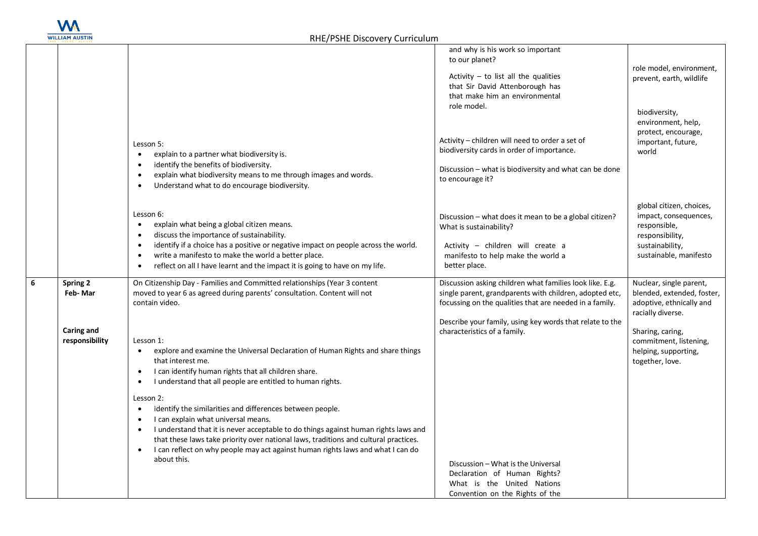

**6 Spring 2** 

|                              |                                                                                                                                                                                                                                                                                                                                                                                                                                                                                                                                                                                                                                                                                                                        | and why is his work so important<br>to our planet?<br>Activity $-$ to list all the qualities<br>that Sir David Attenborough has<br>that make him an environmental<br>role model.                                                           | role model, environment,<br>prevent, earth, wildlife<br>biodiversity,<br>environment, help,                                       |
|------------------------------|------------------------------------------------------------------------------------------------------------------------------------------------------------------------------------------------------------------------------------------------------------------------------------------------------------------------------------------------------------------------------------------------------------------------------------------------------------------------------------------------------------------------------------------------------------------------------------------------------------------------------------------------------------------------------------------------------------------------|--------------------------------------------------------------------------------------------------------------------------------------------------------------------------------------------------------------------------------------------|-----------------------------------------------------------------------------------------------------------------------------------|
|                              | Lesson 5:<br>explain to a partner what biodiversity is.<br>$\bullet$<br>identify the benefits of biodiversity.<br>$\bullet$<br>explain what biodiversity means to me through images and words.<br>$\bullet$<br>Understand what to do encourage biodiversity.<br>$\bullet$                                                                                                                                                                                                                                                                                                                                                                                                                                              | Activity - children will need to order a set of<br>biodiversity cards in order of importance.<br>Discussion – what is biodiversity and what can be done<br>to encourage it?                                                                | protect, encourage,<br>important, future,<br>world                                                                                |
|                              | Lesson 6:<br>explain what being a global citizen means.<br>$\bullet$<br>discuss the importance of sustainability.<br>$\bullet$<br>identify if a choice has a positive or negative impact on people across the world.<br>$\bullet$<br>write a manifesto to make the world a better place.<br>$\bullet$<br>reflect on all I have learnt and the impact it is going to have on my life.<br>$\bullet$                                                                                                                                                                                                                                                                                                                      | Discussion – what does it mean to be a global citizen?<br>What is sustainability?<br>Activity - children will create a<br>manifesto to help make the world a<br>better place.                                                              | global citizen, choices,<br>impact, consequences,<br>responsible,<br>responsibility,<br>sustainability,<br>sustainable, manifesto |
| Spring 2<br>Feb-Mar          | On Citizenship Day - Families and Committed relationships (Year 3 content<br>moved to year 6 as agreed during parents' consultation. Content will not<br>contain video.                                                                                                                                                                                                                                                                                                                                                                                                                                                                                                                                                | Discussion asking children what families look like. E.g.<br>single parent, grandparents with children, adopted etc,<br>focussing on the qualities that are needed in a family.<br>Describe your family, using key words that relate to the | Nuclear, single parent,<br>blended, extended, foster,<br>adoptive, ethnically and<br>racially diverse.                            |
| Caring and<br>responsibility | Lesson 1:<br>explore and examine the Universal Declaration of Human Rights and share things<br>that interest me.<br>I can identify human rights that all children share.<br>$\bullet$<br>I understand that all people are entitled to human rights.<br>$\bullet$<br>Lesson 2:<br>identify the similarities and differences between people.<br>$\bullet$<br>I can explain what universal means.<br>$\bullet$<br>I understand that it is never acceptable to do things against human rights laws and<br>$\bullet$<br>that these laws take priority over national laws, traditions and cultural practices.<br>I can reflect on why people may act against human rights laws and what I can do<br>$\bullet$<br>about this. | characteristics of a family.<br>Discussion - What is the Universal                                                                                                                                                                         | Sharing, caring,<br>commitment, listening,<br>helping, supporting,<br>together, love.                                             |
|                              |                                                                                                                                                                                                                                                                                                                                                                                                                                                                                                                                                                                                                                                                                                                        | Declaration of Human Rights?<br>What is the United Nations<br>Convention on the Rights of the                                                                                                                                              |                                                                                                                                   |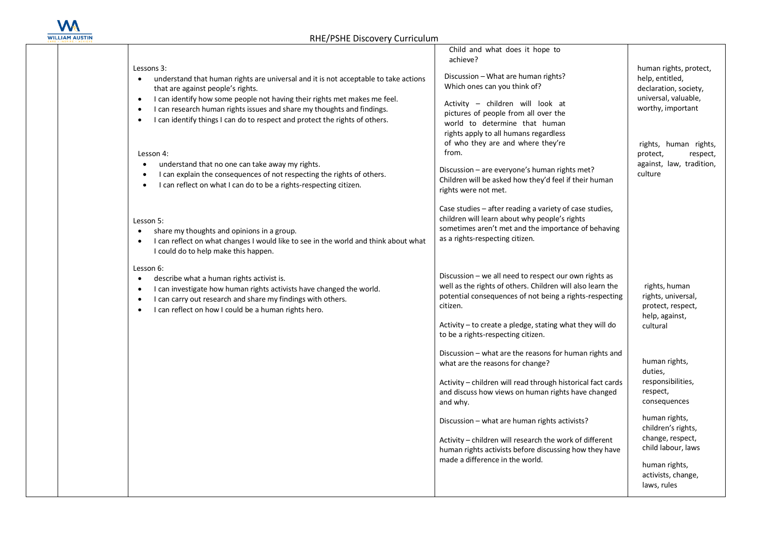

| Lessons 3:<br>understand that human rights are universal and it is not acceptable to take actions<br>$\bullet$<br>that are against people's rights.<br>I can identify how some people not having their rights met makes me feel.<br>$\bullet$<br>I can research human rights issues and share my thoughts and findings.<br>$\bullet$<br>I can identify things I can do to respect and protect the rights of others.<br>$\bullet$<br>Lesson 4:<br>understand that no one can take away my rights.<br>$\bullet$<br>I can explain the consequences of not respecting the rights of others.<br>I can reflect on what I can do to be a rights-respecting citizen.<br>Lesson 5:<br>share my thoughts and opinions in a group.<br>I can reflect on what changes I would like to see in the world and think about what<br>$\bullet$<br>I could do to help make this happen. | Child and what does it hope to<br>achieve?<br>Discussion - What are human rights?<br>Which ones can you think of?<br>Activity - children will look at<br>pictures of people from all over the<br>world to determine that human<br>rights apply to all humans regardless<br>of who they are and where they're<br>from.<br>Discussion - are everyone's human rights met?<br>Children will be asked how they'd feel if their human<br>rights were not met.<br>Case studies - after reading a variety of case studies,<br>children will learn about why people's rights<br>sometimes aren't met and the importance of behaving<br>as a rights-respecting citizen.                                                                        | human rights, protect,<br>help, entitled,<br>declaration, society,<br>universal, valuable,<br>worthy, important<br>rights, human rights,<br>protect,<br>respect,<br>against, law, tradition,<br>culture                                                                                                    |
|---------------------------------------------------------------------------------------------------------------------------------------------------------------------------------------------------------------------------------------------------------------------------------------------------------------------------------------------------------------------------------------------------------------------------------------------------------------------------------------------------------------------------------------------------------------------------------------------------------------------------------------------------------------------------------------------------------------------------------------------------------------------------------------------------------------------------------------------------------------------|--------------------------------------------------------------------------------------------------------------------------------------------------------------------------------------------------------------------------------------------------------------------------------------------------------------------------------------------------------------------------------------------------------------------------------------------------------------------------------------------------------------------------------------------------------------------------------------------------------------------------------------------------------------------------------------------------------------------------------------|------------------------------------------------------------------------------------------------------------------------------------------------------------------------------------------------------------------------------------------------------------------------------------------------------------|
| Lesson 6:<br>describe what a human rights activist is.<br>$\bullet$<br>I can investigate how human rights activists have changed the world.<br>$\bullet$<br>I can carry out research and share my findings with others.<br>$\bullet$<br>I can reflect on how I could be a human rights hero.<br>$\bullet$                                                                                                                                                                                                                                                                                                                                                                                                                                                                                                                                                           | Discussion - we all need to respect our own rights as<br>well as the rights of others. Children will also learn the<br>potential consequences of not being a rights-respecting<br>citizen.<br>Activity - to create a pledge, stating what they will do<br>to be a rights-respecting citizen.<br>Discussion – what are the reasons for human rights and<br>what are the reasons for change?<br>Activity - children will read through historical fact cards<br>and discuss how views on human rights have changed<br>and why.<br>Discussion - what are human rights activists?<br>Activity – children will research the work of different<br>human rights activists before discussing how they have<br>made a difference in the world. | rights, human<br>rights, universal,<br>protect, respect,<br>help, against,<br>cultural<br>human rights,<br>duties,<br>responsibilities,<br>respect,<br>consequences<br>human rights,<br>children's rights,<br>change, respect,<br>child labour, laws<br>human rights,<br>activists, change,<br>laws, rules |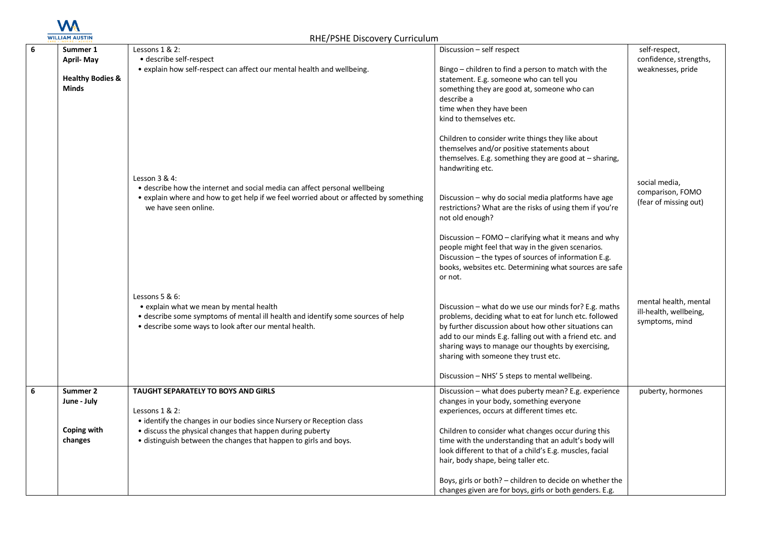

| 6 | Summer 1<br><b>April-May</b>         | Lessons 1 & 2:<br>• describe self-respect                                                                                                                                                                | Discussion - self respect                                                                                                                                                                                                                                                                                                         | self-respect,<br>confidence, strengths,                           |
|---|--------------------------------------|----------------------------------------------------------------------------------------------------------------------------------------------------------------------------------------------------------|-----------------------------------------------------------------------------------------------------------------------------------------------------------------------------------------------------------------------------------------------------------------------------------------------------------------------------------|-------------------------------------------------------------------|
|   | <b>Healthy Bodies &amp;</b><br>Minds | • explain how self-respect can affect our mental health and wellbeing.                                                                                                                                   | Bingo - children to find a person to match with the<br>statement. E.g. someone who can tell you<br>something they are good at, someone who can<br>describe a<br>time when they have been<br>kind to themselves etc.                                                                                                               | weaknesses, pride                                                 |
|   |                                      | Lesson $3 & 4$ :                                                                                                                                                                                         | Children to consider write things they like about<br>themselves and/or positive statements about<br>themselves. E.g. something they are good at $-$ sharing,<br>handwriting etc.                                                                                                                                                  | social media,                                                     |
|   |                                      | • describe how the internet and social media can affect personal wellbeing<br>• explain where and how to get help if we feel worried about or affected by something<br>we have seen online.              | Discussion - why do social media platforms have age<br>restrictions? What are the risks of using them if you're<br>not old enough?                                                                                                                                                                                                | comparison, FOMO<br>(fear of missing out)                         |
|   |                                      |                                                                                                                                                                                                          | Discussion - FOMO - clarifying what it means and why<br>people might feel that way in the given scenarios.<br>Discussion - the types of sources of information E.g.<br>books, websites etc. Determining what sources are safe<br>or not.                                                                                          |                                                                   |
|   |                                      | Lessons $5 & 6$ :<br>• explain what we mean by mental health<br>• describe some symptoms of mental ill health and identify some sources of help<br>· describe some ways to look after our mental health. | Discussion - what do we use our minds for? E.g. maths<br>problems, deciding what to eat for lunch etc. followed<br>by further discussion about how other situations can<br>add to our minds E.g. falling out with a friend etc. and<br>sharing ways to manage our thoughts by exercising,<br>sharing with someone they trust etc. | mental health, mental<br>ill-health, wellbeing,<br>symptoms, mind |
|   |                                      |                                                                                                                                                                                                          | Discussion - NHS' 5 steps to mental wellbeing.                                                                                                                                                                                                                                                                                    |                                                                   |
|   | Summer 2<br>June - July              | TAUGHT SEPARATELY TO BOYS AND GIRLS<br>Lessons $1 & 2$ :<br>• identify the changes in our bodies since Nursery or Reception class                                                                        | Discussion - what does puberty mean? E.g. experience<br>changes in your body, something everyone<br>experiences, occurs at different times etc.                                                                                                                                                                                   | puberty, hormones                                                 |
|   | Coping with<br>changes               | • discuss the physical changes that happen during puberty<br>• distinguish between the changes that happen to girls and boys.                                                                            | Children to consider what changes occur during this<br>time with the understanding that an adult's body will<br>look different to that of a child's E.g. muscles, facial<br>hair, body shape, being taller etc.                                                                                                                   |                                                                   |
|   |                                      |                                                                                                                                                                                                          | Boys, girls or both? – children to decide on whether the<br>changes given are for boys, girls or both genders. E.g.                                                                                                                                                                                                               |                                                                   |